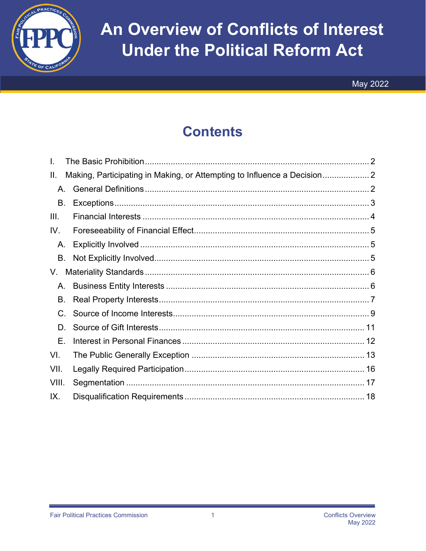

# An Overview of Conflicts of Interest **Under the Political Reform Act**

### **Contents**

| L.    |                                                                        |
|-------|------------------------------------------------------------------------|
| Ш.    | Making, Participating in Making, or Attempting to Influence a Decision |
| A.    |                                                                        |
| В.    |                                                                        |
| III.  |                                                                        |
| IV.   |                                                                        |
| А.    |                                                                        |
| В.    |                                                                        |
| V.    |                                                                        |
| А.    |                                                                        |
| В.    |                                                                        |
| C.    |                                                                        |
| D.    |                                                                        |
| Е.    |                                                                        |
| VI.   |                                                                        |
| VII.  |                                                                        |
| VIII. |                                                                        |
| IX.   |                                                                        |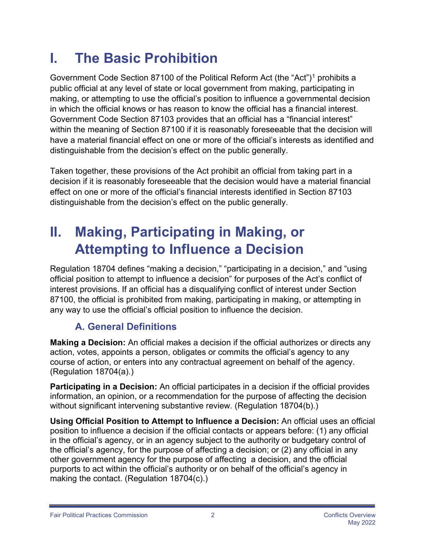## <span id="page-1-0"></span> **I. The Basic Prohibition**

 making, or attempting to use the official's position to influence a governmental decision Government Code Section 87[1](#page-1-3)00 of the Political Reform Act (the "Act")<sup>1</sup> prohibits a public official at any level of state or local government from making, participating in in which the official knows or has reason to know the official has a financial interest. Government Code Section 87103 provides that an official has a "financial interest" within the meaning of Section 87100 if it is reasonably foreseeable that the decision will have a material financial effect on one or more of the official's interests as identified and distinguishable from the decision's effect on the public generally.

Taken together, these provisions of the Act prohibit an official from taking part in a decision if it is reasonably foreseeable that the decision would have a material financial effect on one or more of the official's financial interests identified in Section 87103 distinguishable from the decision's effect on the public generally.

### <span id="page-1-1"></span> **II. Making, Participating in Making, or Attempting to Influence a Decision**

Regulation 18704 defines "making a decision," "participating in a decision," and "using official position to attempt to influence a decision" for purposes of the Act's conflict of interest provisions. If an official has a disqualifying conflict of interest under Section 87100, the official is prohibited from making, participating in making, or attempting in any way to use the official's official position to influence the decision.

### **A. General Definitions**

<span id="page-1-4"></span><span id="page-1-3"></span><span id="page-1-2"></span> **Making a Decision:** An official makes a decision if the official authorizes or directs any action, votes, appoints a person, obligates or commits the official's agency to any course of action, or enters into any contractual agreement on behalf of the agency. (Regulation 18704(a).)

<span id="page-1-5"></span>**Participating in a Decision:** An official participates in a decision if the official provides information, an opinion, or a recommendation for the purpose of affecting the decision without significant intervening substantive review. (Regulation 18704(b).)

**Using Official Position to Attempt to Influence a Decision:** An official uses an official position to influence a decision if the official contacts or appears before: (1) any official in the official's agency, or in an agency subject to the authority or budgetary control of the official's agency, for the purpose of affecting a decision; or (2) any official in any other government agency for the purpose of affecting a decision, and the official purports to act within the official's authority or on behalf of the official's agency in making the contact. (Regulation 18704(c).)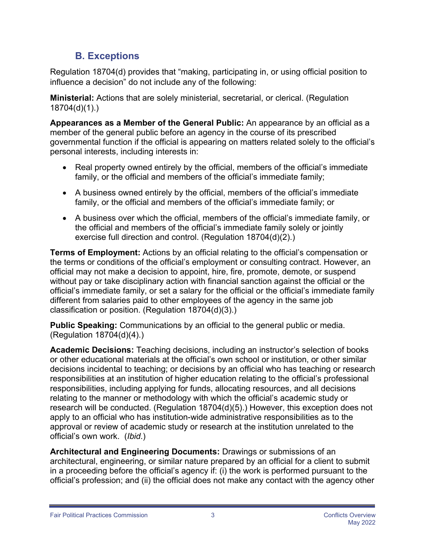### **B. Exceptions**

<span id="page-2-0"></span>Regulation 18704(d) provides that "making, participating in, or using official position to influence a decision" do not include any of the following:

**Ministerial:** Actions that are solely ministerial, secretarial, or clerical. (Regulation 18704(d)(1).)

**Appearances as a Member of the General Public:** An appearance by an official as a member of the general public before an agency in the course of its prescribed governmental function if the official is appearing on matters related solely to the official's personal interests, including interests in:

- Real property owned entirely by the official, members of the official's immediate family, or the official and members of the official's immediate family;
- A business owned entirely by the official, members of the official's immediate family, or the official and members of the official's immediate family; or
- the official and members of the official's immediate family solely or jointly • A business over which the official, members of the official's immediate family, or exercise full direction and control. (Regulation 18704(d)(2).)

 without pay or take disciplinary action with financial sanction against the official or the official's immediate family, or set a salary for the official or the official's immediate family **Terms of Employment:** Actions by an official relating to the official's compensation or the terms or conditions of the official's employment or consulting contract. However, an official may not make a decision to appoint, hire, fire, promote, demote, or suspend different from salaries paid to other employees of the agency in the same job classification or position. (Regulation 18704(d)(3).)

**Public Speaking:** Communications by an official to the general public or media. (Regulation 18704(d)(4).)

 responsibilities, including applying for funds, allocating resources, and all decisions relating to the manner or methodology with which the official's academic study or official's own work. (*Ibid*.) **Academic Decisions:** Teaching decisions, including an instructor's selection of books or other educational materials at the official's own school or institution, or other similar decisions incidental to teaching; or decisions by an official who has teaching or research responsibilities at an institution of higher education relating to the official's professional research will be conducted. (Regulation 18704(d)(5).) However, this exception does not apply to an official who has institution-wide administrative responsibilities as to the approval or review of academic study or research at the institution unrelated to the

**Architectural and Engineering Documents:** Drawings or submissions of an architectural, engineering, or similar nature prepared by an official for a client to submit in a proceeding before the official's agency if: (i) the work is performed pursuant to the official's profession; and (ii) the official does not make any contact with the agency other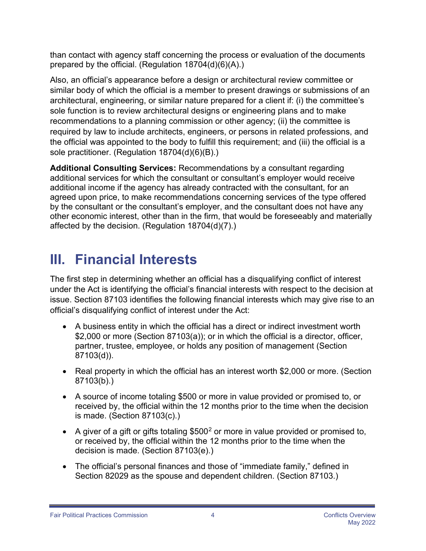than contact with agency staff concerning the process or evaluation of the documents prepared by the official. (Regulation 18704(d)(6)(A).)

Also, an official's appearance before a design or architectural review committee or similar body of which the official is a member to present drawings or submissions of an architectural, engineering, or similar nature prepared for a client if: (i) the committee's sole function is to review architectural designs or engineering plans and to make recommendations to a planning commission or other agency; (ii) the committee is required by law to include architects, engineers, or persons in related professions, and the official was appointed to the body to fulfill this requirement; and (iii) the official is a sole practitioner. (Regulation 18704(d)(6)(B).)

 other economic interest, other than in the firm, that would be foreseeably and materially **Additional Consulting Services:** Recommendations by a consultant regarding additional services for which the consultant or consultant's employer would receive additional income if the agency has already contracted with the consultant, for an agreed upon price, to make recommendations concerning services of the type offered by the consultant or the consultant's employer, and the consultant does not have any affected by the decision. (Regulation 18704(d)(7).)

### <span id="page-3-0"></span>**III. Financial Interests**

The first step in determining whether an official has a disqualifying conflict of interest under the Act is identifying the official's financial interests with respect to the decision at issue. Section 87103 identifies the following financial interests which may give rise to an official's disqualifying conflict of interest under the Act:

- • A business entity in which the official has a direct or indirect investment worth \$2,000 or more (Section 87103(a)); or in which the official is a director, officer, partner, trustee, employee, or holds any position of management (Section 87103(d)).
- Real property in which the official has an interest worth \$2,000 or more. (Section 87103(b).)
- • A source of income totaling \$500 or more in value provided or promised to, or received by, the official within the 12 months prior to the time when the decision is made. (Section 87103(c).)
- A giver of a gift or gifts totaling  $$500<sup>2</sup>$  $$500<sup>2</sup>$  $$500<sup>2</sup>$  or more in value provided or promised to, or received by, the official within the 12 months prior to the time when the decision is made. (Section 87103(e).)
- The official's personal finances and those of "immediate family," defined in Section 82029 as the spouse and dependent children. (Section 87103.)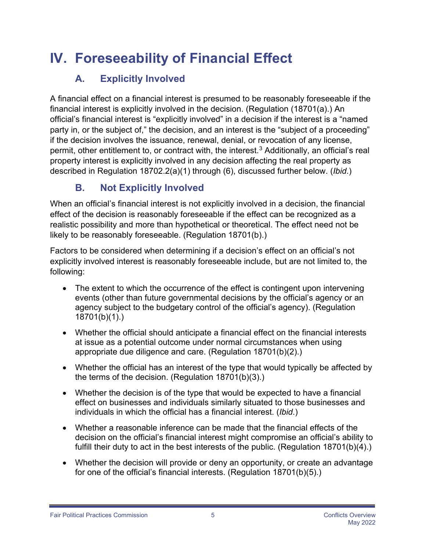## <span id="page-4-0"></span> **IV. Foreseeability of Financial Effect**

#### <span id="page-4-1"></span>A. **Explicitly Involved**

 party in, or the subject of," the decision, and an interest is the "subject of a proceeding" described in Regulation 18702.2(a)(1) through (6), discussed further below. (*Ibid*.) A financial effect on a financial interest is presumed to be reasonably foreseeable if the financial interest is explicitly involved in the decision. (Regulation (18701(a).) An official's financial interest is "explicitly involved" in a decision if the interest is a "named if the decision involves the issuance, renewal, denial, or revocation of any license, permit, other entitlement to, or contract with, the interest.<sup>[3](#page-1-5)</sup> Additionally, an official's real property interest is explicitly involved in any decision affecting the real property as

#### <span id="page-4-2"></span>**B. Not Explicitly Involved**

When an official's financial interest is not explicitly involved in a decision, the financial effect of the decision is reasonably foreseeable if the effect can be recognized as a realistic possibility and more than hypothetical or theoretical. The effect need not be likely to be reasonably foreseeable. (Regulation 18701(b).)

Factors to be considered when determining if a decision's effect on an official's not explicitly involved interest is reasonably foreseeable include, but are not limited to, the following:

- The extent to which the occurrence of the effect is contingent upon intervening events (other than future governmental decisions by the official's agency or an agency subject to the budgetary control of the official's agency). (Regulation 18701(b)(1).)
- Whether the official should anticipate a financial effect on the financial interests at issue as a potential outcome under normal circumstances when using appropriate due diligence and care. (Regulation 18701(b)(2).)
- Whether the official has an interest of the type that would typically be affected by the terms of the decision. (Regulation 18701(b)(3).)
- Whether the decision is of the type that would be expected to have a financial effect on businesses and individuals similarly situated to those businesses and individuals in which the official has a financial interest. (*Ibid*.)
- Whether a reasonable inference can be made that the financial effects of the decision on the official's financial interest might compromise an official's ability to fulfill their duty to act in the best interests of the public. (Regulation 18701(b)(4).)
- Whether the decision will provide or deny an opportunity, or create an advantage for one of the official's financial interests. (Regulation 18701(b)(5).)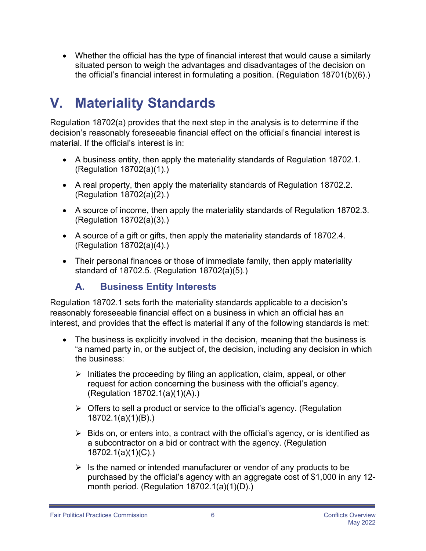• Whether the official has the type of financial interest that would cause a similarly situated person to weigh the advantages and disadvantages of the decision on the official's financial interest in formulating a position. (Regulation 18701(b)(6).)

### <span id="page-5-0"></span>**V. Materiality Standards**

Regulation 18702(a) provides that the next step in the analysis is to determine if the decision's reasonably foreseeable financial effect on the official's financial interest is material. If the official's interest is in:

- A business entity, then apply the materiality standards of Regulation 18702.1. (Regulation 18702(a)(1).)
- A real property, then apply the materiality standards of Regulation 18702.2. (Regulation 18702(a)(2).)
- A source of income, then apply the materiality standards of Regulation 18702.3. (Regulation 18702(a)(3).)
- A source of a gift or gifts, then apply the materiality standards of 18702.4. (Regulation 18702(a)(4).)
- • Their personal finances or those of immediate family, then apply materiality standard of 18702.5. (Regulation 18702(a)(5).)

#### <span id="page-5-1"></span>A. **A. Business Entity Interests**

Regulation 18702.1 sets forth the materiality standards applicable to a decision's reasonably foreseeable financial effect on a business in which an official has an interest, and provides that the effect is material if any of the following standards is met:

- "a named party in, or the subject of, the decision, including any decision in which • The business is explicitly involved in the decision, meaning that the business is the business:
	- $\triangleright$  Initiates the proceeding by filing an application, claim, appeal, or other request for action concerning the business with the official's agency. (Regulation 18702.1(a)(1)(A).)
	- $\triangleright$  Offers to sell a product or service to the official's agency. (Regulation 18702.1(a)(1)(B).)
	- $\triangleright$  Bids on, or enters into, a contract with the official's agency, or is identified as a subcontractor on a bid or contract with the agency. (Regulation 18702.1(a)(1)(C).)
	- $\triangleright$  Is the named or intended manufacturer or vendor of any products to be purchased by the official's agency with an aggregate cost of \$1,000 in any 12 month period. (Regulation 18702.1(a)(1)(D).)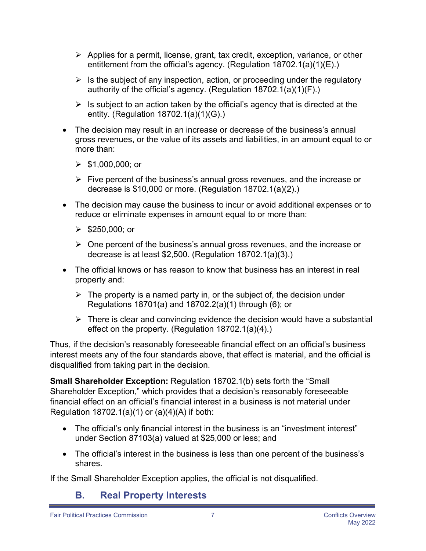- $\triangleright$  Applies for a permit, license, grant, tax credit, exception, variance, or other entitlement from the official's agency. (Regulation 18702.1(a)(1)(E).)
- $\triangleright$  Is the subject of any inspection, action, or proceeding under the regulatory authority of the official's agency. (Regulation 18702.1(a)(1)(F).)
- $\triangleright$  Is subject to an action taken by the official's agency that is directed at the entity. (Regulation 18702.1(a)(1)(G).)
- The decision may result in an increase or decrease of the business's annual gross revenues, or the value of its assets and liabilities, in an amount equal to or more than:
	- $\geq$  \$1,000,000; or
	- $\triangleright$  Five percent of the business's annual gross revenues, and the increase or decrease is \$10,000 or more. (Regulation 18702.1(a)(2).)
- The decision may cause the business to incur or avoid additional expenses or to reduce or eliminate expenses in amount equal to or more than:
	- $\triangleright$  \$250,000; or
	- $\triangleright$  One percent of the business's annual gross revenues, and the increase or decrease is at least \$2,500. (Regulation 18702.1(a)(3).)
- The official knows or has reason to know that business has an interest in real property and:
	- $\triangleright$  The property is a named party in, or the subject of, the decision under Regulations 18701(a) and 18702.2(a)(1) through (6); or
	- $\triangleright$  There is clear and convincing evidence the decision would have a substantial effect on the property. (Regulation 18702.1(a)(4).)

Thus, if the decision's reasonably foreseeable financial effect on an official's business interest meets any of the four standards above, that effect is material, and the official is disqualified from taking part in the decision.

**Small Shareholder Exception:** Regulation 18702.1(b) sets forth the "Small Shareholder Exception," which provides that a decision's reasonably foreseeable financial effect on an official's financial interest in a business is not material under Regulation  $18702.1(a)(1)$  or  $(a)(4)(A)$  if both:

- The official's only financial interest in the business is an "investment interest" under Section 87103(a) valued at \$25,000 or less; and
- The official's interest in the business is less than one percent of the business's shares.

If the Small Shareholder Exception applies, the official is not disqualified.

#### <span id="page-6-0"></span>B. **B. Real Property Interests**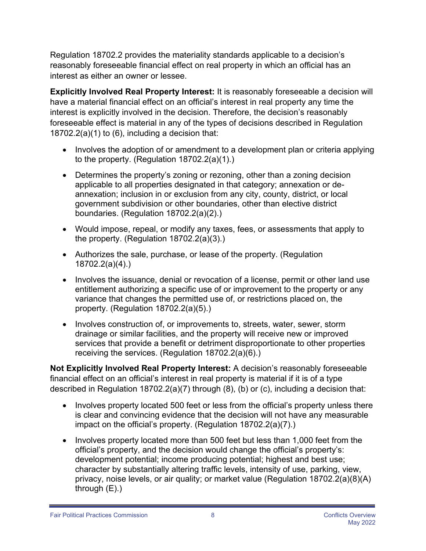Regulation 18702.2 provides the materiality standards applicable to a decision's reasonably foreseeable financial effect on real property in which an official has an interest as either an owner or lessee.

**Explicitly Involved Real Property Interest:** It is reasonably foreseeable a decision will have a material financial effect on an official's interest in real property any time the interest is explicitly involved in the decision. Therefore, the decision's reasonably foreseeable effect is material in any of the types of decisions described in Regulation  $18702.2(a)(1)$  to (6), including a decision that:

- Involves the adoption of or amendment to a development plan or criteria applying to the property. (Regulation 18702.2(a)(1).)
- annexation; inclusion in or exclusion from any city, county, district, or local • Determines the property's zoning or rezoning, other than a zoning decision applicable to all properties designated in that category; annexation or degovernment subdivision or other boundaries, other than elective district boundaries. (Regulation 18702.2(a)(2).)
- • Would impose, repeal, or modify any taxes, fees, or assessments that apply to the property. (Regulation 18702.2(a)(3).)
- Authorizes the sale, purchase, or lease of the property. (Regulation 18702.2(a)(4).)
- Involves the issuance, denial or revocation of a license, permit or other land use entitlement authorizing a specific use of or improvement to the property or any variance that changes the permitted use of, or restrictions placed on, the property. (Regulation 18702.2(a)(5).)
- Involves construction of, or improvements to, streets, water, sewer, storm drainage or similar facilities, and the property will receive new or improved services that provide a benefit or detriment disproportionate to other properties receiving the services. (Regulation 18702.2(a)(6).)

 financial effect on an official's interest in real property is material if it is of a type described in Regulation 18702.2(a)(7) through (8), (b) or (c), including a decision that: **Not Explicitly Involved Real Property Interest:** A decision's reasonably foreseeable

- impact on the official's property. (Regulation 18702.2(a)(7).) • Involves property located 500 feet or less from the official's property unless there is clear and convincing evidence that the decision will not have any measurable
- Involves property located more than 500 feet but less than 1,000 feet from the official's property, and the decision would change the official's property's: development potential; income producing potential; highest and best use; character by substantially altering traffic levels, intensity of use, parking, view, privacy, noise levels, or air quality; or market value (Regulation 18702.2(a)(8)(A) through (E).)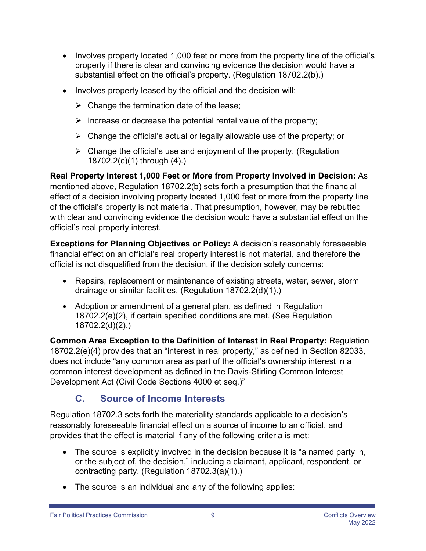- Involves property located 1,000 feet or more from the property line of the official's property if there is clear and convincing evidence the decision would have a substantial effect on the official's property. (Regulation 18702.2(b).)
- Involves property leased by the official and the decision will:
	- $\triangleright$  Change the termination date of the lease;
	- $\triangleright$  Increase or decrease the potential rental value of the property;
	- $\triangleright$  Change the official's actual or legally allowable use of the property; or
	- $\triangleright$  Change the official's use and enjoyment of the property. (Regulation 18702.2(c)(1) through (4).)

**Real Property Interest 1,000 Feet or More from Property Involved in Decision:** As mentioned above, Regulation 18702.2(b) sets forth a presumption that the financial effect of a decision involving property located 1,000 feet or more from the property line of the official's property is not material. That presumption, however, may be rebutted with clear and convincing evidence the decision would have a substantial effect on the official's real property interest.

**Exceptions for Planning Objectives or Policy:** A decision's reasonably foreseeable financial effect on an official's real property interest is not material, and therefore the official is not disqualified from the decision, if the decision solely concerns:

- Repairs, replacement or maintenance of existing streets, water, sewer, storm drainage or similar facilities. (Regulation 18702.2(d)(1).)
- Adoption or amendment of a general plan, as defined in Regulation 18702.2(e)(2), if certain specified conditions are met. (See Regulation 18702.2(d)(2).)

**Common Area Exception to the Definition of Interest in Real Property:** Regulation 18702.2(e)(4) provides that an "interest in real property," as defined in Section 82033, does not include "any common area as part of the official's ownership interest in a common interest development as defined in the Davis-Stirling Common Interest Development Act (Civil Code Sections 4000 et seq.)"

#### <span id="page-8-0"></span> **C. Source of Income Interests**

Regulation 18702.3 sets forth the materiality standards applicable to a decision's reasonably foreseeable financial effect on a source of income to an official, and provides that the effect is material if any of the following criteria is met:

- The source is explicitly involved in the decision because it is "a named party in, or the subject of, the decision," including a claimant, applicant, respondent, or contracting party. (Regulation 18702.3(a)(1).)
- The source is an individual and any of the following applies: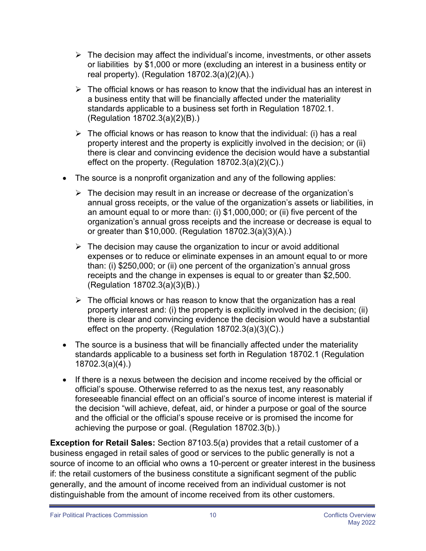- or liabilities by \$1,000 or more (excluding an interest in a business entity or  $\triangleright$  The decision may affect the individual's income, investments, or other assets real property). (Regulation 18702.3(a)(2)(A).)
- a business entity that will be financially affected under the materiality  $\triangleright$  The official knows or has reason to know that the individual has an interest in standards applicable to a business set forth in Regulation 18702.1. (Regulation 18702.3(a)(2)(B).)
- $\triangleright$  The official knows or has reason to know that the individual: (i) has a real property interest and the property is explicitly involved in the decision; or (ii) there is clear and convincing evidence the decision would have a substantial effect on the property. (Regulation 18702.3(a)(2)(C).)
- • The source is a nonprofit organization and any of the following applies:
	- $\triangleright$  The decision may result in an increase or decrease of the organization's annual gross receipts, or the value of the organization's assets or liabilities, in an amount equal to or more than: (i) \$1,000,000; or (ii) five percent of the organization's annual gross receipts and the increase or decrease is equal to or greater than \$10,000. (Regulation 18702.3(a)(3)(A).)
	- $\triangleright$  The decision may cause the organization to incur or avoid additional expenses or to reduce or eliminate expenses in an amount equal to or more than: (i) \$250,000; or (ii) one percent of the organization's annual gross receipts and the change in expenses is equal to or greater than \$2,500. (Regulation 18702.3(a)(3)(B).)
	- $\triangleright$  The official knows or has reason to know that the organization has a real property interest and: (i) the property is explicitly involved in the decision; (ii) there is clear and convincing evidence the decision would have a substantial effect on the property. (Regulation 18702.3(a)(3)(C).)
- The source is a business that will be financially affected under the materiality standards applicable to a business set forth in Regulation 18702.1 (Regulation 18702.3(a)(4).)
- If there is a nexus between the decision and income received by the official or official's spouse. Otherwise referred to as the nexus test, any reasonably foreseeable financial effect on an official's source of income interest is material if the decision "will achieve, defeat, aid, or hinder a purpose or goal of the source and the official or the official's spouse receive or is promised the income for achieving the purpose or goal. (Regulation 18702.3(b).)

 business engaged in retail sales of good or services to the public generally is not a if: the retail customers of the business constitute a significant segment of the public generally, and the amount of income received from an individual customer is not **Exception for Retail Sales:** Section 87103.5(a) provides that a retail customer of a source of income to an official who owns a 10-percent or greater interest in the business distinguishable from the amount of income received from its other customers.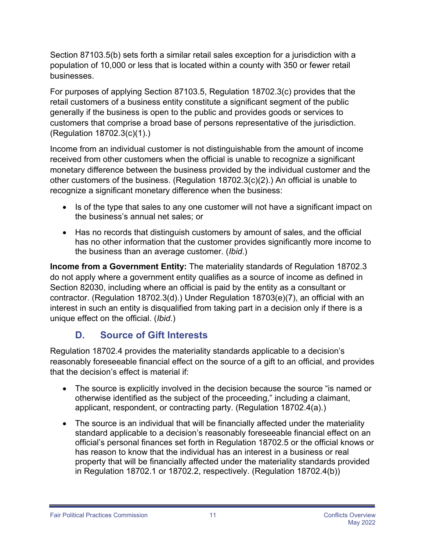Section 87103.5(b) sets forth a similar retail sales exception for a jurisdiction with a population of 10,000 or less that is located within a county with 350 or fewer retail businesses.

 retail customers of a business entity constitute a significant segment of the public For purposes of applying Section 87103.5, Regulation 18702.3(c) provides that the generally if the business is open to the public and provides goods or services to customers that comprise a broad base of persons representative of the jurisdiction. (Regulation 18702.3(c)(1).)

Income from an individual customer is not distinguishable from the amount of income received from other customers when the official is unable to recognize a significant monetary difference between the business provided by the individual customer and the other customers of the business. (Regulation 18702.3(c)(2).) An official is unable to recognize a significant monetary difference when the business:

- Is of the type that sales to any one customer will not have a significant impact on the business's annual net sales; or
- Has no records that distinguish customers by amount of sales, and the official has no other information that the customer provides significantly more income to the business than an average customer. (*Ibid*.)

**Income from a Government Entity:** The materiality standards of Regulation 18702.3 do not apply where a government entity qualifies as a source of income as defined in Section 82030, including where an official is paid by the entity as a consultant or contractor. (Regulation 18702.3(d).) Under Regulation 18703(e)(7), an official with an interest in such an entity is disqualified from taking part in a decision only if there is a unique effect on the official. (*Ibid*.)

#### <span id="page-10-0"></span>**D**. **D. Source of Gift Interests**

Regulation 18702.4 provides the materiality standards applicable to a decision's reasonably foreseeable financial effect on the source of a gift to an official, and provides that the decision's effect is material if:

- The source is explicitly involved in the decision because the source "is named or otherwise identified as the subject of the proceeding," including a claimant, applicant, respondent, or contracting party. (Regulation 18702.4(a).)
- The source is an individual that will be financially affected under the materiality standard applicable to a decision's reasonably foreseeable financial effect on an official's personal finances set forth in Regulation 18702.5 or the official knows or has reason to know that the individual has an interest in a business or real property that will be financially affected under the materiality standards provided in Regulation 18702.1 or 18702.2, respectively. (Regulation 18702.4(b))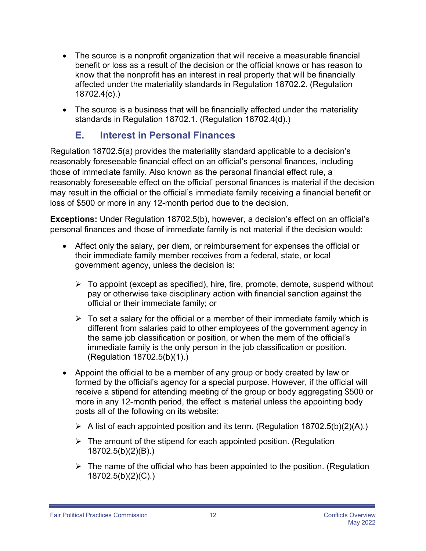- The source is a nonprofit organization that will receive a measurable financial benefit or loss as a result of the decision or the official knows or has reason to know that the nonprofit has an interest in real property that will be financially affected under the materiality standards in Regulation 18702.2. (Regulation 18702.4(c).)
- The source is a business that will be financially affected under the materiality standards in Regulation 18702.1. (Regulation 18702.4(d).)

#### <span id="page-11-0"></span> **E. Interest in Personal Finances**

 loss of \$500 or more in any 12-month period due to the decision. Regulation 18702.5(a) provides the materiality standard applicable to a decision's reasonably foreseeable financial effect on an official's personal finances, including those of immediate family. Also known as the personal financial effect rule, a reasonably foreseeable effect on the official' personal finances is material if the decision may result in the official or the official's immediate family receiving a financial benefit or

**Exceptions:** Under Regulation 18702.5(b), however, a decision's effect on an official's personal finances and those of immediate family is not material if the decision would:

- • Affect only the salary, per diem, or reimbursement for expenses the official or their immediate family member receives from a federal, state, or local government agency, unless the decision is:
	- $\triangleright$  To appoint (except as specified), hire, fire, promote, demote, suspend without pay or otherwise take disciplinary action with financial sanction against the official or their immediate family; or
	- the same job classification or position, or when the mem of the official's  $\triangleright$  To set a salary for the official or a member of their immediate family which is different from salaries paid to other employees of the government agency in immediate family is the only person in the job classification or position. (Regulation 18702.5(b)(1).)
- • Appoint the official to be a member of any group or body created by law or formed by the official's agency for a special purpose. However, if the official will receive a stipend for attending meeting of the group or body aggregating \$500 or more in any 12-month period, the effect is material unless the appointing body posts all of the following on its website:
	- $\triangleright$  A list of each appointed position and its term. (Regulation 18702.5(b)(2)(A).)
	- $\triangleright$  The amount of the stipend for each appointed position. (Regulation 18702.5(b)(2)(B).)
	- $\triangleright$  The name of the official who has been appointed to the position. (Regulation 18702.5(b)(2)(C).)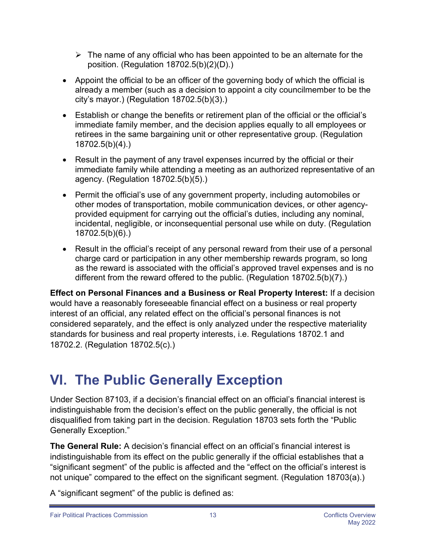- $\triangleright$  The name of any official who has been appointed to be an alternate for the position. (Regulation 18702.5(b)(2)(D).)
- Appoint the official to be an officer of the governing body of which the official is already a member (such as a decision to appoint a city councilmember to be the city's mayor.) (Regulation 18702.5(b)(3).)
- Establish or change the benefits or retirement plan of the official or the official's immediate family member, and the decision applies equally to all employees or retirees in the same bargaining unit or other representative group. (Regulation 18702.5(b)(4).)
- Result in the payment of any travel expenses incurred by the official or their immediate family while attending a meeting as an authorized representative of an agency. (Regulation 18702.5(b)(5).)
- Permit the official's use of any government property, including automobiles or other modes of transportation, mobile communication devices, or other agencyprovided equipment for carrying out the official's duties, including any nominal, incidental, negligible, or inconsequential personal use while on duty. (Regulation 18702.5(b)(6).)
- Result in the official's receipt of any personal reward from their use of a personal charge card or participation in any other membership rewards program, so long as the reward is associated with the official's approved travel expenses and is no different from the reward offered to the public. (Regulation 18702.5(b)(7).)

**Effect on Personal Finances and a Business or Real Property Interest:** If a decision would have a reasonably foreseeable financial effect on a business or real property interest of an official, any related effect on the official's personal finances is not considered separately, and the effect is only analyzed under the respective materiality standards for business and real property interests, i.e. Regulations 18702.1 and 18702.2. (Regulation 18702.5(c).)

### <span id="page-12-0"></span>**VI. The Public Generally Exception**

Under Section 87103, if a decision's financial effect on an official's financial interest is indistinguishable from the decision's effect on the public generally, the official is not disqualified from taking part in the decision. Regulation 18703 sets forth the "Public Generally Exception."

**The General Rule:** A decision's financial effect on an official's financial interest is indistinguishable from its effect on the public generally if the official establishes that a "significant segment" of the public is affected and the "effect on the official's interest is not unique" compared to the effect on the significant segment. (Regulation 18703(a).)

A "significant segment" of the public is defined as: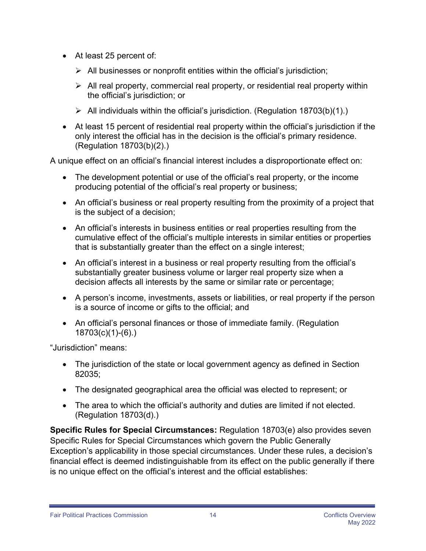- At least 25 percent of:
	- $\triangleright$  All businesses or nonprofit entities within the official's jurisdiction;
	- $\triangleright$  All real property, commercial real property, or residential real property within the official's jurisdiction; or
	- $\triangleright$  All individuals within the official's jurisdiction. (Regulation 18703(b)(1).)
- At least 15 percent of residential real property within the official's jurisdiction if the only interest the official has in the decision is the official's primary residence. (Regulation 18703(b)(2).)

A unique effect on an official's financial interest includes a disproportionate effect on:

- The development potential or use of the official's real property, or the income producing potential of the official's real property or business;
- An official's business or real property resulting from the proximity of a project that is the subject of a decision;
- An official's interests in business entities or real properties resulting from the cumulative effect of the official's multiple interests in similar entities or properties that is substantially greater than the effect on a single interest;
- An official's interest in a business or real property resulting from the official's substantially greater business volume or larger real property size when a decision affects all interests by the same or similar rate or percentage;
- A person's income, investments, assets or liabilities, or real property if the person is a source of income or gifts to the official; and
- An official's personal finances or those of immediate family. (Regulation 18703(c)(1)-(6).)

"Jurisdiction" means:

- The jurisdiction of the state or local government agency as defined in Section 82035;
- The designated geographical area the official was elected to represent; or
- The area to which the official's authority and duties are limited if not elected. (Regulation 18703(d).)

 Specific Rules for Special Circumstances which govern the Public Generally **Specific Rules for Special Circumstances:** Regulation 18703(e) also provides seven Exception's applicability in those special circumstances. Under these rules, a decision's financial effect is deemed indistinguishable from its effect on the public generally if there is no unique effect on the official's interest and the official establishes: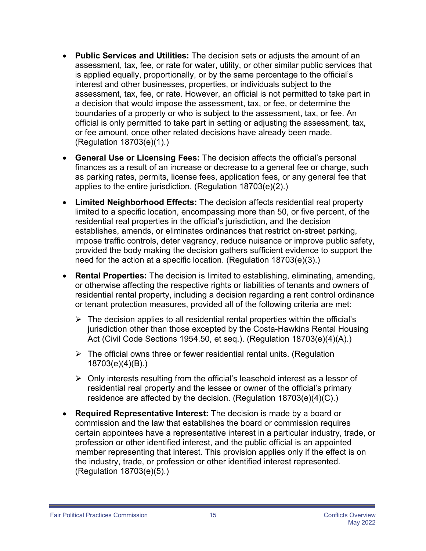- assessment, tax, fee, or rate. However, an official is not permitted to take part in • **Public Services and Utilities:** The decision sets or adjusts the amount of an assessment, tax, fee, or rate for water, utility, or other similar public services that is applied equally, proportionally, or by the same percentage to the official's interest and other businesses, properties, or individuals subject to the a decision that would impose the assessment, tax, or fee, or determine the boundaries of a property or who is subject to the assessment, tax, or fee. An official is only permitted to take part in setting or adjusting the assessment, tax, or fee amount, once other related decisions have already been made. (Regulation 18703(e)(1).)
- **General Use or Licensing Fees:** The decision affects the official's personal finances as a result of an increase or decrease to a general fee or charge, such as parking rates, permits, license fees, application fees, or any general fee that applies to the entire jurisdiction. (Regulation 18703(e)(2).)
- **Limited Neighborhood Effects:** The decision affects residential real property limited to a specific location, encompassing more than 50, or five percent, of the residential real properties in the official's jurisdiction, and the decision establishes, amends, or eliminates ordinances that restrict on-street parking, impose traffic controls, deter vagrancy, reduce nuisance or improve public safety, provided the body making the decision gathers sufficient evidence to support the need for the action at a specific location. (Regulation 18703(e)(3).)
- or otherwise affecting the respective rights or liabilities of tenants and owners of • **Rental Properties:** The decision is limited to establishing, eliminating, amending, residential rental property, including a decision regarding a rent control ordinance or tenant protection measures, provided all of the following criteria are met:
	- $\triangleright$  The decision applies to all residential rental properties within the official's jurisdiction other than those excepted by the Costa-Hawkins Rental Housing Act (Civil Code Sections 1954.50, et seq.). (Regulation 18703(e)(4)(A).)
	- $\triangleright$  The official owns three or fewer residential rental units. (Regulation 18703(e)(4)(B).)
	- $\triangleright$  Only interests resulting from the official's leasehold interest as a lessor of residential real property and the lessee or owner of the official's primary residence are affected by the decision. (Regulation 18703(e)(4)(C).)
- certain appointees have a representative interest in a particular industry, trade, or • **Required Representative Interest:** The decision is made by a board or commission and the law that establishes the board or commission requires profession or other identified interest, and the public official is an appointed member representing that interest. This provision applies only if the effect is on the industry, trade, or profession or other identified interest represented. (Regulation 18703(e)(5).)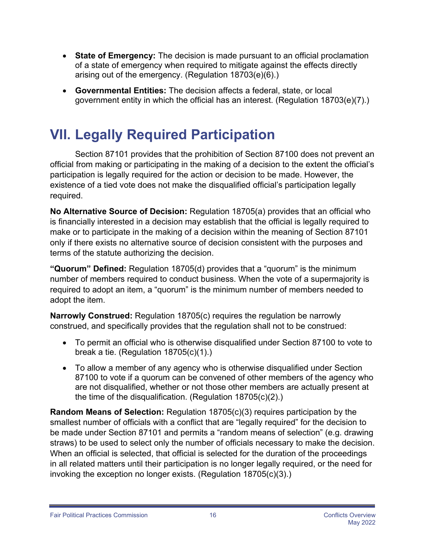- **State of Emergency:** The decision is made pursuant to an official proclamation of a state of emergency when required to mitigate against the effects directly arising out of the emergency. (Regulation 18703(e)(6).)
- **Governmental Entities:** The decision affects a federal, state, or local government entity in which the official has an interest. (Regulation 18703(e)(7).)

### <span id="page-15-0"></span>**VII. Legally Required Participation**

Section 87101 provides that the prohibition of Section 87100 does not prevent an official from making or participating in the making of a decision to the extent the official's participation is legally required for the action or decision to be made. However, the existence of a tied vote does not make the disqualified official's participation legally required.

**No Alternative Source of Decision:** Regulation 18705(a) provides that an official who is financially interested in a decision may establish that the official is legally required to make or to participate in the making of a decision within the meaning of Section 87101 only if there exists no alternative source of decision consistent with the purposes and terms of the statute authorizing the decision.

**"Quorum" Defined:** Regulation 18705(d) provides that a "quorum" is the minimum number of members required to conduct business. When the vote of a supermajority is required to adopt an item, a "quorum" is the minimum number of members needed to adopt the item.

 construed, and specifically provides that the regulation shall not to be construed: **Narrowly Construed:** Regulation 18705(c) requires the regulation be narrowly

- To permit an official who is otherwise disqualified under Section 87100 to vote to break a tie. (Regulation 18705(c)(1).)
- To allow a member of any agency who is otherwise disqualified under Section 87100 to vote if a quorum can be convened of other members of the agency who are not disqualified, whether or not those other members are actually present at the time of the disqualification. (Regulation 18705(c)(2).)

 be made under Section 87101 and permits a "random means of selection" (e.g. drawing **Random Means of Selection:** Regulation 18705(c)(3) requires participation by the smallest number of officials with a conflict that are "legally required" for the decision to straws) to be used to select only the number of officials necessary to make the decision. When an official is selected, that official is selected for the duration of the proceedings in all related matters until their participation is no longer legally required, or the need for invoking the exception no longer exists. (Regulation 18705(c)(3).)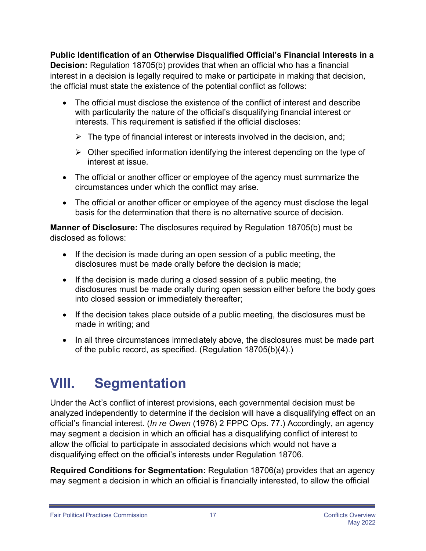**Public Identification of an Otherwise Disqualified Official's Financial Interests in a Decision:** Regulation 18705(b) provides that when an official who has a financial interest in a decision is legally required to make or participate in making that decision, the official must state the existence of the potential conflict as follows:

- The official must disclose the existence of the conflict of interest and describe with particularity the nature of the official's disqualifying financial interest or interests. This requirement is satisfied if the official discloses:
	- $\triangleright$  The type of financial interest or interests involved in the decision, and;
	- $\triangleright$  Other specified information identifying the interest depending on the type of interest at issue.
- • The official or another officer or employee of the agency must summarize the circumstances under which the conflict may arise.
- • The official or another officer or employee of the agency must disclose the legal basis for the determination that there is no alternative source of decision.

**Manner of Disclosure:** The disclosures required by Regulation 18705(b) must be disclosed as follows:

- If the decision is made during an open session of a public meeting, the disclosures must be made orally before the decision is made;
- If the decision is made during a closed session of a public meeting, the disclosures must be made orally during open session either before the body goes into closed session or immediately thereafter;
- If the decision takes place outside of a public meeting, the disclosures must be made in writing; and
- In all three circumstances immediately above, the disclosures must be made part of the public record, as specified. (Regulation 18705(b)(4).)

#### <span id="page-16-0"></span>**VIII. Segmentation**

Under the Act's conflict of interest provisions, each governmental decision must be analyzed independently to determine if the decision will have a disqualifying effect on an official's financial interest. (*In re Owen* (1976) 2 FPPC Ops. 77.) Accordingly, an agency may segment a decision in which an official has a disqualifying conflict of interest to allow the official to participate in associated decisions which would not have a disqualifying effect on the official's interests under Regulation 18706.

**Required Conditions for Segmentation:** Regulation 18706(a) provides that an agency may segment a decision in which an official is financially interested, to allow the official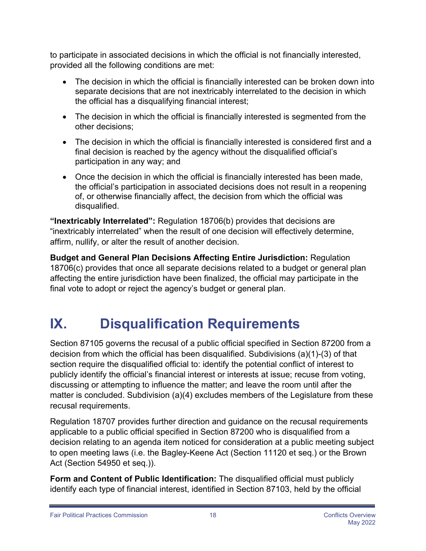to participate in associated decisions in which the official is not financially interested, provided all the following conditions are met:

- The decision in which the official is financially interested can be broken down into separate decisions that are not inextricably interrelated to the decision in which the official has a disqualifying financial interest;
- The decision in which the official is financially interested is segmented from the other decisions;
- The decision in which the official is financially interested is considered first and a final decision is reached by the agency without the disqualified official's participation in any way; and
- Once the decision in which the official is financially interested has been made, the official's participation in associated decisions does not result in a reopening of, or otherwise financially affect, the decision from which the official was disqualified.

**"Inextricably Interrelated":** Regulation 18706(b) provides that decisions are "inextricably interrelated" when the result of one decision will effectively determine, affirm, nullify, or alter the result of another decision.

**Budget and General Plan Decisions Affecting Entire Jurisdiction:** Regulation 18706(c) provides that once all separate decisions related to a budget or general plan affecting the entire jurisdiction have been finalized, the official may participate in the final vote to adopt or reject the agency's budget or general plan.

### <span id="page-17-0"></span>**IX. Disqualification Requirements**

 decision from which the official has been disqualified. Subdivisions (a)(1)-(3) of that Section 87105 governs the recusal of a public official specified in Section 87200 from a section require the disqualified official to: identify the potential conflict of interest to publicly identify the official's financial interest or interests at issue; recuse from voting, discussing or attempting to influence the matter; and leave the room until after the matter is concluded. Subdivision (a)(4) excludes members of the Legislature from these recusal requirements.

Regulation 18707 provides further direction and guidance on the recusal requirements applicable to a public official specified in Section 87200 who is disqualified from a decision relating to an agenda item noticed for consideration at a public meeting subject to open meeting laws (i.e. the Bagley-Keene Act (Section 11120 et seq.) or the Brown Act (Section 54950 et seq.)).

**Form and Content of Public Identification:** The disqualified official must publicly identify each type of financial interest, identified in Section 87103, held by the official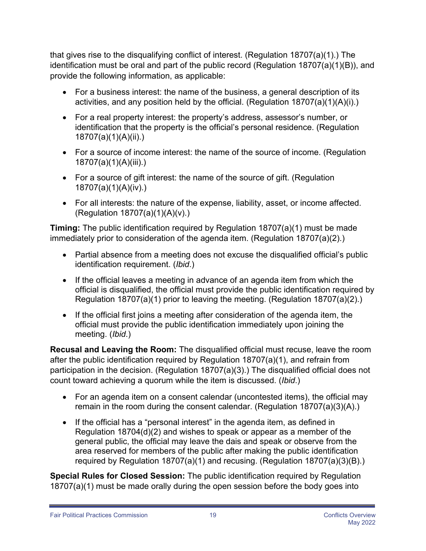that gives rise to the disqualifying conflict of interest. (Regulation 18707(a)(1).) The identification must be oral and part of the public record (Regulation 18707(a)(1)(B)), and provide the following information, as applicable:

- For a business interest: the name of the business, a general description of its activities, and any position held by the official. (Regulation  $18707(a)(1)(A)(i)$ .)
- For a real property interest: the property's address, assessor's number, or identification that the property is the official's personal residence. (Regulation 18707(a)(1)(A)(ii).)
- For a source of income interest: the name of the source of income. (Regulation 18707(a)(1)(A)(iii).)
- For a source of gift interest: the name of the source of gift. (Regulation 18707(a)(1)(A)(iv).)
- For all interests: the nature of the expense, liability, asset, or income affected. (Regulation 18707(a)(1)(A)(v).)

**Timing:** The public identification required by Regulation 18707(a)(1) must be made immediately prior to consideration of the agenda item. (Regulation 18707(a)(2).)

- Partial absence from a meeting does not excuse the disqualified official's public identification requirement. (*Ibid*.)
- If the official leaves a meeting in advance of an agenda item from which the official is disqualified, the official must provide the public identification required by Regulation 18707(a)(1) prior to leaving the meeting. (Regulation 18707(a)(2).)
- If the official first joins a meeting after consideration of the agenda item, the official must provide the public identification immediately upon joining the meeting. (*Ibid*.)

**Recusal and Leaving the Room:** The disqualified official must recuse, leave the room after the public identification required by Regulation 18707(a)(1), and refrain from participation in the decision. (Regulation 18707(a)(3).) The disqualified official does not count toward achieving a quorum while the item is discussed. (*Ibid*.)

- For an agenda item on a consent calendar (uncontested items), the official may remain in the room during the consent calendar. (Regulation 18707(a)(3)(A).)
- If the official has a "personal interest" in the agenda item, as defined in Regulation 18704(d)(2) and wishes to speak or appear as a member of the general public, the official may leave the dais and speak or observe from the area reserved for members of the public after making the public identification required by Regulation 18707(a)(1) and recusing. (Regulation 18707(a)(3)(B).)

**Special Rules for Closed Session:** The public identification required by Regulation 18707(a)(1) must be made orally during the open session before the body goes into